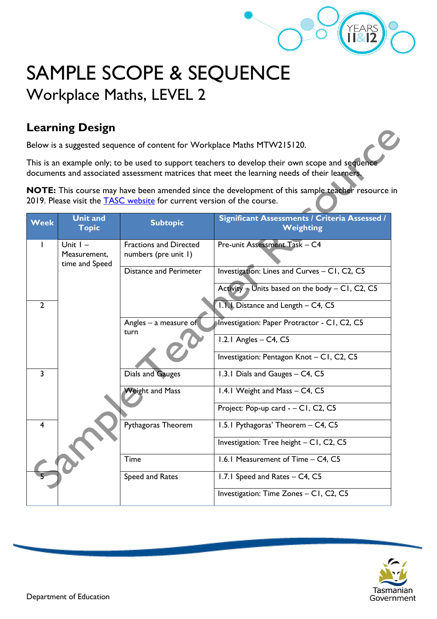

## SAMPLE SCOPE & SEQUENCE Workplace Maths, LEVEL 2

## **Learning Design**

Below is a suggested sequence of content for Workplace Maths MTW215120.

This is an example only; to be used to support teachers to develop their own scope and sequence documents and associated assessment matrices that meet the learning needs of their learners.

**NOTE:** This course may have been amended since the development of this sample teacher resource in 2019. Please visit the **TASC** website for current version of the course.

| <b>Week</b>    | <b>Unit and</b><br><b>Topic</b>              | <b>Subtopic</b>                                       | Significant Assessments / Criteria Assessed /<br><b>Weighting</b> |
|----------------|----------------------------------------------|-------------------------------------------------------|-------------------------------------------------------------------|
| Т              | Unit $I -$<br>Measurement,<br>time and Speed | <b>Fractions and Directed</b><br>numbers (pre unit 1) | Pre-unit Assessment Task - C4                                     |
|                |                                              | <b>Distance and Perimeter</b>                         | Investigation: Lines and Curves - C1, C2, C5                      |
|                |                                              |                                                       | Activity $+$ Units based on the body $-$ C1, C2, C5               |
| $\overline{2}$ |                                              |                                                       | 1.1.1 Distance and Length - C4, C5                                |
|                |                                              | Angles $-$ a measure of<br>turn                       | Investigation: Paper Protractor - C1, C2, C5                      |
|                |                                              |                                                       | 1.2.1 Angles $-$ C4, C5                                           |
|                |                                              |                                                       | Investigation: Pentagon Knot - C1, C2, C5                         |
| $\overline{3}$ |                                              | Dials and Gauges                                      | 1.3.1 Dials and Gauges - C4, C5                                   |
|                |                                              | <b>Weight and Mass</b>                                | 1.4.1 Weight and Mass - C4, C5                                    |
|                |                                              |                                                       | Project: Pop-up card - - C1, C2, C5                               |
| $\overline{4}$ |                                              | Pythagoras Theorem                                    | 1.5.1 Pythagoras' Theorem - C4, C5                                |
|                |                                              |                                                       | Investigation: Tree height - CI, C2, C5                           |
|                |                                              | Time                                                  | 1.6.1 Measurement of Time - C4, C5                                |
|                |                                              | Speed and Rates                                       | 1.7.1 Speed and Rates - C4, C5                                    |
|                |                                              |                                                       | Investigation: Time Zones - C1, C2, C5                            |

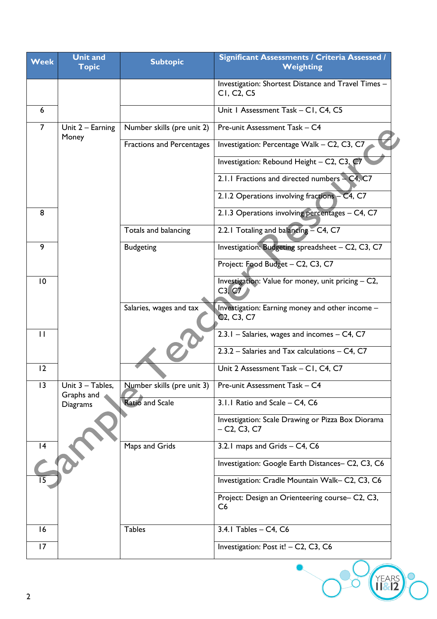| <b>Week</b>  | <b>Unit and</b><br><b>Topic</b> | <b>Subtopic</b>            | Significant Assessments / Criteria Assessed /<br>Weighting                                          |
|--------------|---------------------------------|----------------------------|-----------------------------------------------------------------------------------------------------|
|              |                                 |                            | Investigation: Shortest Distance and Travel Times -<br>CI, C <sub>2</sub> , C <sub>5</sub>          |
| 6            |                                 |                            | Unit I Assessment Task - CI, C4, C5                                                                 |
| 7            | Unit 2 - Earning<br>Money       | Number skills (pre unit 2) | Pre-unit Assessment Task - C4                                                                       |
|              |                                 | Fractions and Percentages  | Investigation: Percentage Walk - C2, C3, C7                                                         |
|              |                                 |                            | Investigation: Rebound Height - C2, C3, C7                                                          |
|              |                                 |                            | 2.1.1 Fractions and directed numbers - C4, C7                                                       |
|              |                                 |                            | 2.1.2 Operations involving fractions - C4, C7                                                       |
| 8            |                                 |                            | 2.1.3 Operations involving percentages - C4, C7                                                     |
|              |                                 | Totals and balancing       | 2.2.1 Totaling and balancing - C4, C7                                                               |
| 9            |                                 | <b>Budgeting</b>           | Investigation: Budgeting spreadsheet - C2, C3, C7                                                   |
|              |                                 |                            | Project: Food Budget - C2, C3, C7                                                                   |
| 10           |                                 |                            | Investigation: Value for money, unit pricing - C2,<br>C3, C7                                        |
|              |                                 | Salaries, wages and tax    | Investigation: Earning money and other income -<br>C <sub>2</sub> , C <sub>3</sub> , C <sub>7</sub> |
| $\mathbf{I}$ |                                 |                            | 2.3.1 - Salaries, wages and incomes - C4, C7                                                        |
|              |                                 |                            | 2.3.2 - Salaries and Tax calculations - C4, C7                                                      |
| 12           |                                 |                            | Unit 2 Assessment Task - C1, C4, C7                                                                 |
| 3            | Unit 3 - Tables,<br>Graphs and  | Number skills (pre unit 3) | Pre-unit Assessment Task - C4                                                                       |
|              | Diagrams                        | <b>Ratio and Scale</b>     | 3.1.1 Ratio and Scale - C4, C6                                                                      |
|              |                                 |                            | Investigation: Scale Drawing or Pizza Box Diorama<br>$- C2, C3, C7$                                 |
| 4            |                                 | Maps and Grids             | 3.2.1 maps and Grids - C4, C6                                                                       |
|              |                                 |                            | Investigation: Google Earth Distances- C2, C3, C6                                                   |
|              |                                 |                            | Investigation: Cradle Mountain Walk-C2, C3, C6                                                      |
|              |                                 |                            | Project: Design an Orienteering course- C2, C3,<br>C <sub>6</sub>                                   |
| 16           |                                 | <b>Tables</b>              | 3.4.1 Tables - C4, C6                                                                               |
| 17           |                                 |                            | Investigation: Post it! - C2, C3, C6                                                                |
| 2            |                                 |                            | <b>FARS</b>                                                                                         |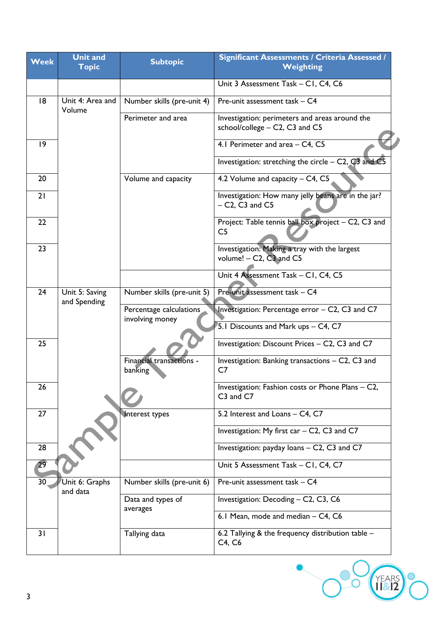| <b>Week</b> | <b>Unit and</b><br><b>Topic</b> | <b>Subtopic</b>                            | <b>Significant Assessments / Criteria Assessed /</b><br>Weighting                                             |
|-------------|---------------------------------|--------------------------------------------|---------------------------------------------------------------------------------------------------------------|
|             |                                 |                                            | Unit 3 Assessment Task - C1, C4, C6                                                                           |
| 18          | Unit 4: Area and<br>Volume      | Number skills (pre-unit 4)                 | Pre-unit assessment task - C4                                                                                 |
|             |                                 | Perimeter and area                         | Investigation: perimeters and areas around the<br>school/college - C2, C3 and C5                              |
| 9           |                                 |                                            | 4.1 Perimeter and area - C4, C5                                                                               |
|             |                                 |                                            | Investigation: stretching the circle $-$ C2, $C3$ and C5                                                      |
| 20          |                                 | Volume and capacity                        | 4.2 Volume and capacity - C4, C5                                                                              |
| 21          |                                 |                                            | Investigation: How many jelly beans are in the jar?<br>$-$ C <sub>2</sub> , C <sub>3</sub> and C <sub>5</sub> |
| 22          |                                 |                                            | Project: Table tennis ball box project - C2, C3 and<br>C5                                                     |
| 23          |                                 |                                            | Investigation: Making a tray with the largest<br>volume! $-$ C2, $\overline{C}$ 3 and C5                      |
|             |                                 |                                            | Unit 4 Assessment Task - C1, C4, C5                                                                           |
| 24          | Unit 5: Saving<br>and Spending  | Number skills (pre-unit 5)                 | Pre-unit assessment task - C4                                                                                 |
|             |                                 | Percentage calculations<br>involving money | Investigation: Percentage error - C2, C3 and C7<br>5.1 Discounts and Mark ups - C4, C7                        |
| 25          |                                 |                                            | Investigation: Discount Prices - C2, C3 and C7                                                                |
|             |                                 | Financial transactions -<br>banking        | Investigation: Banking transactions – C2, C3 and<br>C <sub>7</sub>                                            |
| 26          |                                 |                                            | Investigation: Fashion costs or Phone Plans - C2,<br>C3 and C7                                                |
| 27          |                                 | Interest types                             | 5.2 Interest and Loans - C4, C7                                                                               |
|             |                                 |                                            | Investigation: My first car $-$ C2, C3 and C7                                                                 |
| 28          |                                 |                                            | Investigation: payday loans - C2, C3 and C7                                                                   |
| 29          |                                 |                                            | Unit 5 Assessment Task - C1, C4, C7                                                                           |
| 30          | Unit 6: Graphs<br>and data      | Number skills (pre-unit 6)                 | Pre-unit assessment task - C4                                                                                 |
|             |                                 | Data and types of<br>averages              | Investigation: Decoding - C2, C3, C6                                                                          |
|             |                                 |                                            | 6.1 Mean, mode and median - C4, C6                                                                            |
| 31          |                                 | Tallying data                              | 6.2 Tallying & the frequency distribution table $-$<br>C4, C6                                                 |

**OVEARS**